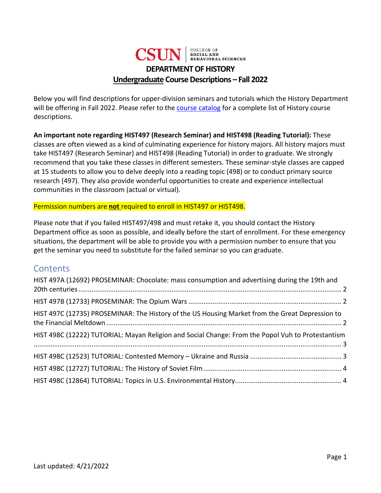

Below you will find descriptions for upper-division seminars and tutorials which the History Department will be offering in Fall 2022. Please refer to the [course catalog](https://catalog.csun.edu/academics/hist/courses/) for a complete list of History course descriptions.

**An important note regarding HIST497 (Research Seminar) and HIST498 (Reading Tutorial):** These classes are often viewed as a kind of culminating experience for history majors. All history majors must take HIST497 (Research Seminar) and HIST498 (Reading Tutorial) in order to graduate. We strongly recommend that you take these classes in different semesters. These seminar-style classes are capped at 15 students to allow you to delve deeply into a reading topic (498) or to conduct primary source research (497). They also provide wonderful opportunities to create and experience intellectual communities in the classroom (actual or virtual).

### Permission numbers are **not** required to enroll in HIST497 or HIST498.

Please note that if you failed HIST497/498 and must retake it, you should contact the History Department office as soon as possible, and ideally before the start of enrollment. For these emergency situations, the department will be able to provide you with a permission number to ensure that you get the seminar you need to substitute for the failed seminar so you can graduate.

## **Contents**

| HIST 497A (12692) PROSEMINAR: Chocolate: mass consumption and advertising during the 19th and     |  |
|---------------------------------------------------------------------------------------------------|--|
|                                                                                                   |  |
| HIST 497C (12735) PROSEMINAR: The History of the US Housing Market from the Great Depression to   |  |
| HIST 498C (12222) TUTORIAL: Mayan Religion and Social Change: From the Popol Vuh to Protestantism |  |
|                                                                                                   |  |
|                                                                                                   |  |
|                                                                                                   |  |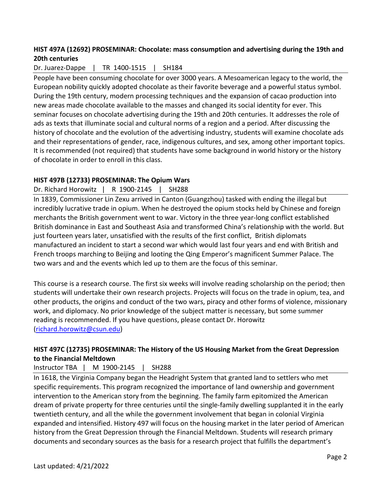## <span id="page-1-0"></span>**HIST 497A (12692) PROSEMINAR: Chocolate: mass consumption and advertising during the 19th and 20th centuries**

### Dr. Juarez-Dappe | TR 1400-1515 | SH184

People have been consuming chocolate for over 3000 years. A Mesoamerican legacy to the world, the European nobility quickly adopted chocolate as their favorite beverage and a powerful status symbol. During the 19th century, modern processing techniques and the expansion of cacao production into new areas made chocolate available to the masses and changed its social identity for ever. This seminar focuses on chocolate advertising during the 19th and 20th centuries. It addresses the role of ads as texts that illuminate social and cultural norms of a region and a period. After discussing the history of chocolate and the evolution of the advertising industry, students will examine chocolate ads and their representations of gender, race, indigenous cultures, and sex, among other important topics. It is recommended (not required) that students have some background in world history or the history of chocolate in order to enroll in this class.

#### <span id="page-1-1"></span>**HIST 497B (12733) PROSEMINAR: The Opium Wars**

#### Dr. Richard Horowitz | R 1900-2145 | SH288

In 1839, Commissioner Lin Zexu arrived in Canton (Guangzhou) tasked with ending the illegal but incredibly lucrative trade in opium. When he destroyed the opium stocks held by Chinese and foreign merchants the British government went to war. Victory in the three year-long conflict established British dominance in East and Southeast Asia and transformed China's relationship with the world. But just fourteen years later, unsatisfied with the results of the first conflict, British diplomats manufactured an incident to start a second war which would last four years and end with British and French troops marching to Beijing and looting the Qing Emperor's magnificent Summer Palace. The two wars and and the events which led up to them are the focus of this seminar.

This course is a research course. The first six weeks will involve reading scholarship on the period; then students will undertake their own research projects. Projects will focus on the trade in opium, tea, and other products, the origins and conduct of the two wars, piracy and other forms of violence, missionary work, and diplomacy. No prior knowledge of the subject matter is necessary, but some summer reading is recommended. If you have questions, please contact Dr. Horowitz [\(richard.horowitz@csun.edu\)](mailto:richard.horowitz@csun.edu)

### <span id="page-1-2"></span>**HIST 497C (12735) PROSEMINAR: The History of the US Housing Market from the Great Depression to the Financial Meltdown**

### Instructor TBA | M 1900-2145 | SH288

In 1618, the Virginia Company began the Headright System that granted land to settlers who met specific requirements. This program recognized the importance of land ownership and government intervention to the American story from the beginning. The family farm epitomized the American dream of private property for three centuries until the single-family dwelling supplanted it in the early twentieth century, and all the while the government involvement that began in colonial Virginia expanded and intensified. History 497 will focus on the housing market in the later period of American history from the Great Depression through the Financial Meltdown. Students will research primary documents and secondary sources as the basis for a research project that fulfills the department's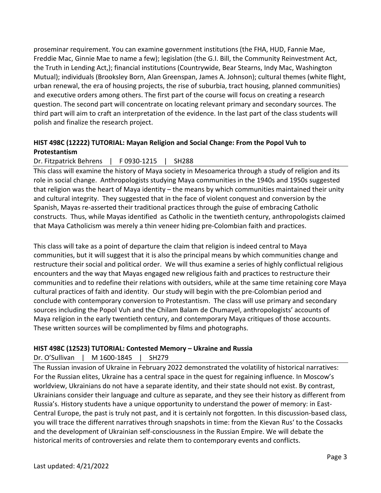proseminar requirement. You can examine government institutions (the FHA, HUD, Fannie Mae, Freddie Mac, Ginnie Mae to name a few); legislation (the G.I. Bill, the Community Reinvestment Act, the Truth in Lending Act,); financial institutions (Countrywide, Bear Stearns, Indy Mac, Washington Mutual); individuals (Brooksley Born, Alan Greenspan, James A. Johnson); cultural themes (white flight, urban renewal, the era of housing projects, the rise of suburbia, tract housing, planned communities) and executive orders among others. The first part of the course will focus on creating a research question. The second part will concentrate on locating relevant primary and secondary sources. The third part will aim to craft an interpretation of the evidence. In the last part of the class students will polish and finalize the research project.

# <span id="page-2-0"></span>**HIST 498C (12222) TUTORIAL: Mayan Religion and Social Change: From the Popol Vuh to Protestantism**

Dr. Fitzpatrick Behrens | F 0930-1215 | SH288

This class will examine the history of Maya society in Mesoamerica through a study of religion and its role in social change. Anthropologists studying Maya communities in the 1940s and 1950s suggested that religion was the heart of Maya identity – the means by which communities maintained their unity and cultural integrity. They suggested that in the face of violent conquest and conversion by the Spanish, Mayas re-asserted their traditional practices through the guise of embracing Catholic constructs. Thus, while Mayas identified as Catholic in the twentieth century, anthropologists claimed that Maya Catholicism was merely a thin veneer hiding pre-Colombian faith and practices.

This class will take as a point of departure the claim that religion is indeed central to Maya communities, but it will suggest that it is also the principal means by which communities change and restructure their social and political order. We will thus examine a series of highly conflictual religious encounters and the way that Mayas engaged new religious faith and practices to restructure their communities and to redefine their relations with outsiders, while at the same time retaining core Maya cultural practices of faith and identity. Our study will begin with the pre-Colombian period and conclude with contemporary conversion to Protestantism. The class will use primary and secondary sources including the Popol Vuh and the Chilam Balam de Chumayel, anthropologists' accounts of Maya religion in the early twentieth century, and contemporary Maya critiques of those accounts. These written sources will be complimented by films and photographs.

### <span id="page-2-1"></span>**HIST 498C (12523) TUTORIAL: Contested Memory – Ukraine and Russia**

Dr. O'Sullivan | M 1600-1845 | SH279

The Russian invasion of Ukraine in February 2022 demonstrated the volatility of historical narratives: For the Russian elites, Ukraine has a central space in the quest for regaining influence. In Moscow's worldview, Ukrainians do not have a separate identity, and their state should not exist. By contrast, Ukrainians consider their language and culture as separate, and they see their history as different from Russia's. History students have a unique opportunity to understand the power of memory: in East-Central Europe, the past is truly not past, and it is certainly not forgotten. In this discussion-based class, you will trace the different narratives through snapshots in time: from the Kievan Rus' to the Cossacks and the development of Ukrainian self-consciousness in the Russian Empire. We will debate the historical merits of controversies and relate them to contemporary events and conflicts.